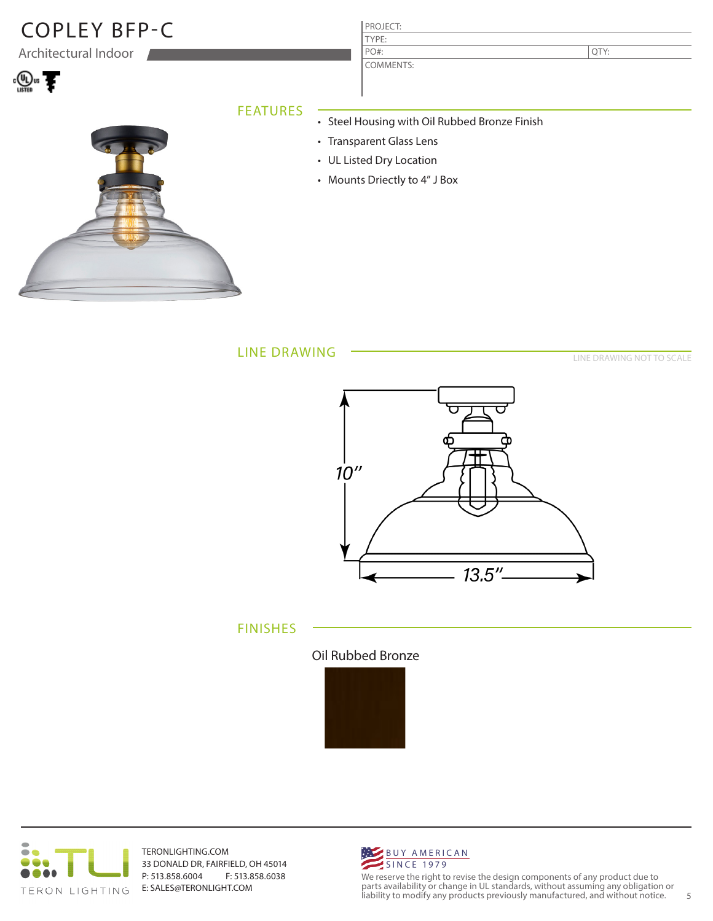# COPLEY BFP-C PROJECT:

Architectural Indoor



| ,我们也不会有什么?""我们的人,我们也不会有什么?""我们的人,我们也不会有什么?""我们的人,我们也不会有什么?""我们的人,我们也不会有什么?""我们的人 |  |  |
|----------------------------------------------------------------------------------|--|--|
|                                                                                  |  |  |
|                                                                                  |  |  |
|                                                                                  |  |  |

### FEATURES

- Steel Housing with Oil Rubbed Bronze Finish
	- Transparent Glass Lens

TYPE:

PO#:

COMMENTS:

- UL Listed Dry Location
- Mounts Driectly to 4" J Box

LINE DRAWING

LINE DRAWING NOT TO SCALE

QTY:



FINISHES





TERONLIGHTING.COM 33 DONALD DR, FAIRFIELD, OH 45014 P: 513.858.6004 F: 513.858.6038 E: SALES@TERONLIGHT.COM



We reserve the right to revise the design components of any product due to parts availability or change in UL standards, without assuming any obligation or liability to modify any products previously manufactured, and without notice. 5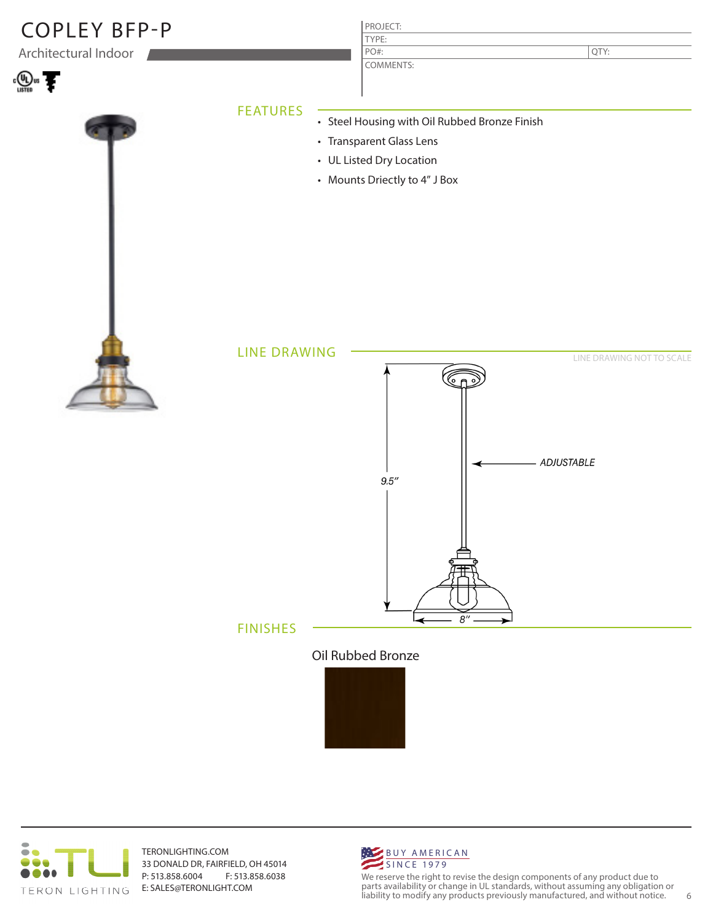



TERONLIGHTING.COM 33 DONALD DR, FAIRFIELD, OH 45014 P: 513.858.6004 F: 513.858.6038 E: SALES@TERONLIGHT.COM



We reserve the right to revise the design components of any product due to parts availability or change in UL standards, without assuming any obligation or liability to modify any products previously manufactured, and without notice. 6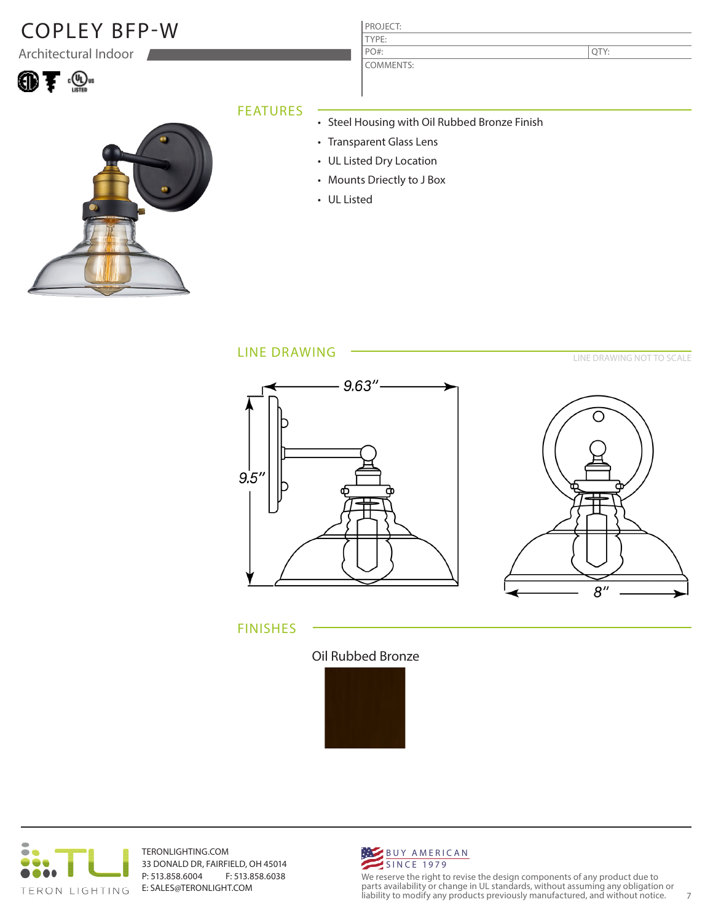# $\mathsf{Co}\mathsf{PLEY}\mathsf{B}\mathsf{FP-W}$  PROJECT:

Architectural Indoor



### TYPE:

COMMENTS: PO#:

QTY:

#### FEATURES

- Steel Housing with Oil Rubbed Bronze Finish
- Transparent Glass Lens
- UL Listed Dry Location
- Mounts Driectly to J Box
- UL Listed

#### LINE DRAWING





LINE DRAWING NOT TO SCALE

#### FINISHES





TERONLIGHTING.COM 33 DONALD DR, FAIRFIELD, OH 45014 P: 513.858.6004 F: 513.858.6038 E: SALES@TERONLIGHT.COM



We reserve the right to revise the design components of any product due to parts availability or change in UL standards, without assuming any obligation or liability to modify any products previously manufactured, and without notice. 7